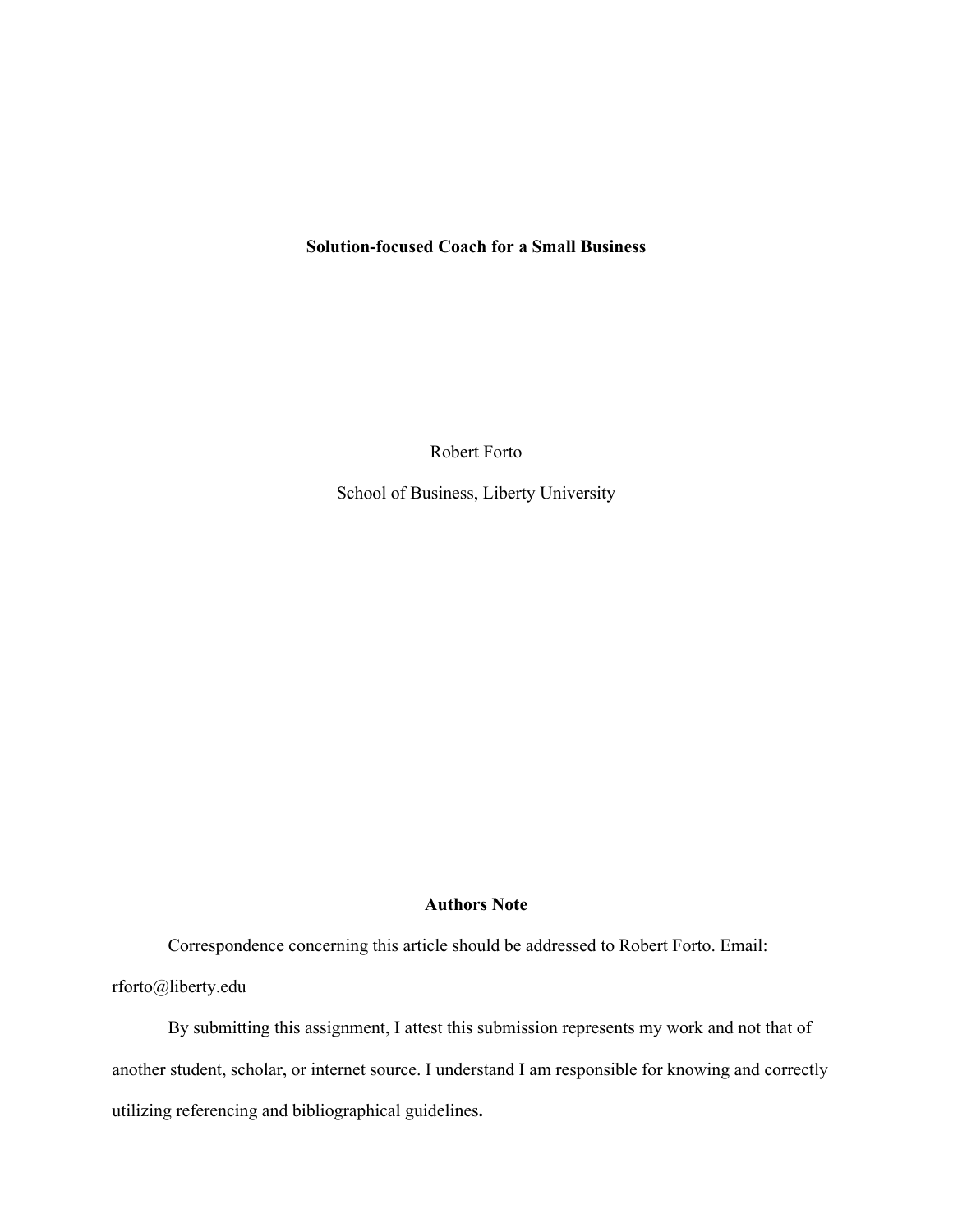# **Solution-focused Coach for a Small Business**

Robert Forto

School of Business, Liberty University

# **Authors Note**

Correspondence concerning this article should be addressed to Robert Forto. Email: rforto@liberty.edu

By submitting this assignment, I attest this submission represents my work and not that of another student, scholar, or internet source. I understand I am responsible for knowing and correctly utilizing referencing and bibliographical guidelines**.**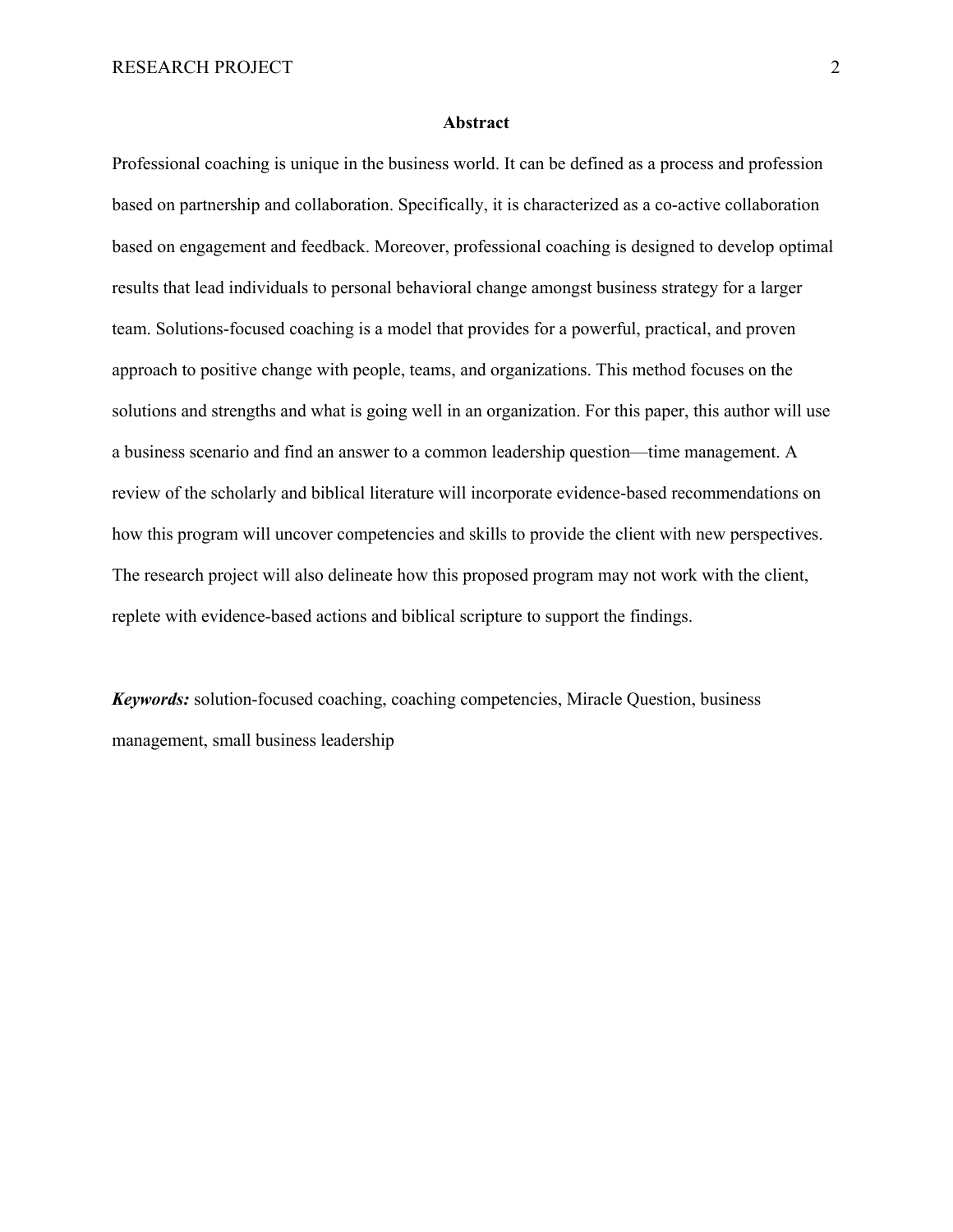#### **Abstract**

Professional coaching is unique in the business world. It can be defined as a process and profession based on partnership and collaboration. Specifically, it is characterized as a co-active collaboration based on engagement and feedback. Moreover, professional coaching is designed to develop optimal results that lead individuals to personal behavioral change amongst business strategy for a larger team. Solutions-focused coaching is a model that provides for a powerful, practical, and proven approach to positive change with people, teams, and organizations. This method focuses on the solutions and strengths and what is going well in an organization. For this paper, this author will use a business scenario and find an answer to a common leadership question—time management. A review of the scholarly and biblical literature will incorporate evidence-based recommendations on how this program will uncover competencies and skills to provide the client with new perspectives. The research project will also delineate how this proposed program may not work with the client, replete with evidence-based actions and biblical scripture to support the findings.

*Keywords:* solution-focused coaching, coaching competencies, Miracle Question, business management, small business leadership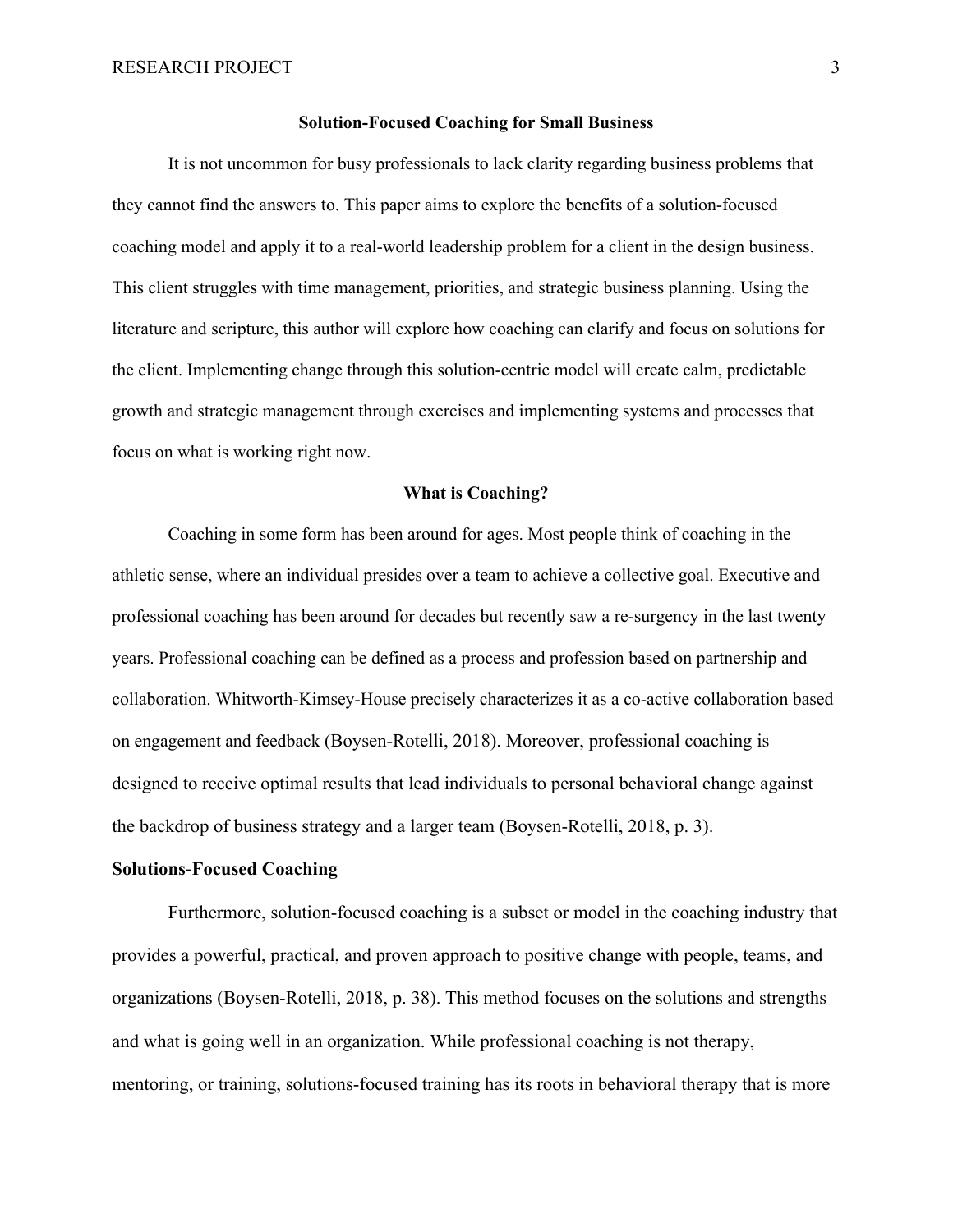#### **Solution-Focused Coaching for Small Business**

It is not uncommon for busy professionals to lack clarity regarding business problems that they cannot find the answers to. This paper aims to explore the benefits of a solution-focused coaching model and apply it to a real-world leadership problem for a client in the design business. This client struggles with time management, priorities, and strategic business planning. Using the literature and scripture, this author will explore how coaching can clarify and focus on solutions for the client. Implementing change through this solution-centric model will create calm, predictable growth and strategic management through exercises and implementing systems and processes that focus on what is working right now.

# **What is Coaching?**

Coaching in some form has been around for ages. Most people think of coaching in the athletic sense, where an individual presides over a team to achieve a collective goal. Executive and professional coaching has been around for decades but recently saw a re-surgency in the last twenty years. Professional coaching can be defined as a process and profession based on partnership and collaboration. Whitworth-Kimsey-House precisely characterizes it as a co-active collaboration based on engagement and feedback (Boysen-Rotelli, 2018). Moreover, professional coaching is designed to receive optimal results that lead individuals to personal behavioral change against the backdrop of business strategy and a larger team (Boysen-Rotelli, 2018, p. 3).

# **Solutions-Focused Coaching**

Furthermore, solution-focused coaching is a subset or model in the coaching industry that provides a powerful, practical, and proven approach to positive change with people, teams, and organizations (Boysen-Rotelli, 2018, p. 38). This method focuses on the solutions and strengths and what is going well in an organization. While professional coaching is not therapy, mentoring, or training, solutions-focused training has its roots in behavioral therapy that is more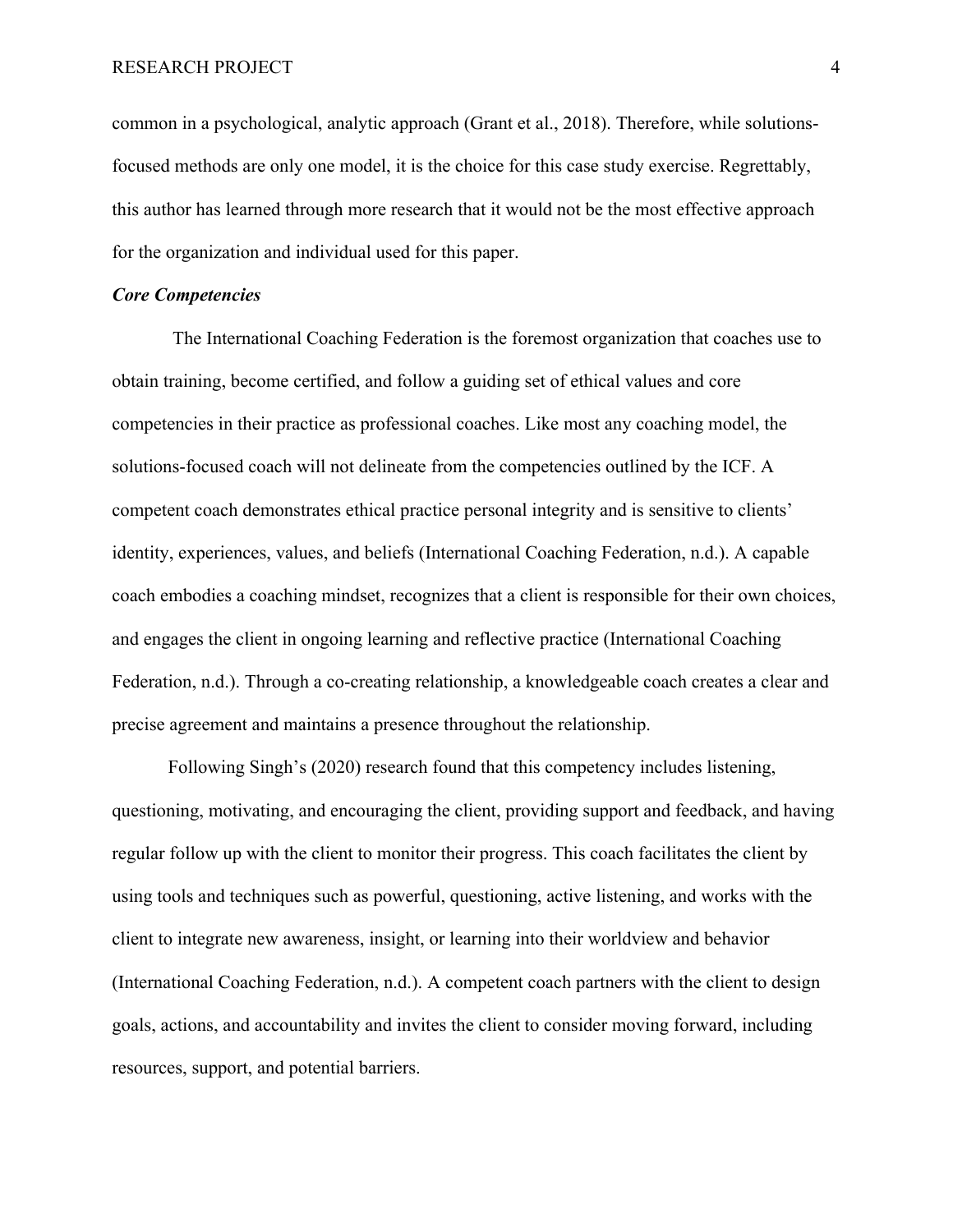common in a psychological, analytic approach (Grant et al., 2018). Therefore, while solutionsfocused methods are only one model, it is the choice for this case study exercise. Regrettably, this author has learned through more research that it would not be the most effective approach for the organization and individual used for this paper.

# *Core Competencies*

The International Coaching Federation is the foremost organization that coaches use to obtain training, become certified, and follow a guiding set of ethical values and core competencies in their practice as professional coaches. Like most any coaching model, the solutions-focused coach will not delineate from the competencies outlined by the ICF. A competent coach demonstrates ethical practice personal integrity and is sensitive to clients' identity, experiences, values, and beliefs (International Coaching Federation, n.d.). A capable coach embodies a coaching mindset, recognizes that a client is responsible for their own choices, and engages the client in ongoing learning and reflective practice (International Coaching Federation, n.d.). Through a co-creating relationship, a knowledgeable coach creates a clear and precise agreement and maintains a presence throughout the relationship.

Following Singh's (2020) research found that this competency includes listening, questioning, motivating, and encouraging the client, providing support and feedback, and having regular follow up with the client to monitor their progress. This coach facilitates the client by using tools and techniques such as powerful, questioning, active listening, and works with the client to integrate new awareness, insight, or learning into their worldview and behavior (International Coaching Federation, n.d.). A competent coach partners with the client to design goals, actions, and accountability and invites the client to consider moving forward, including resources, support, and potential barriers.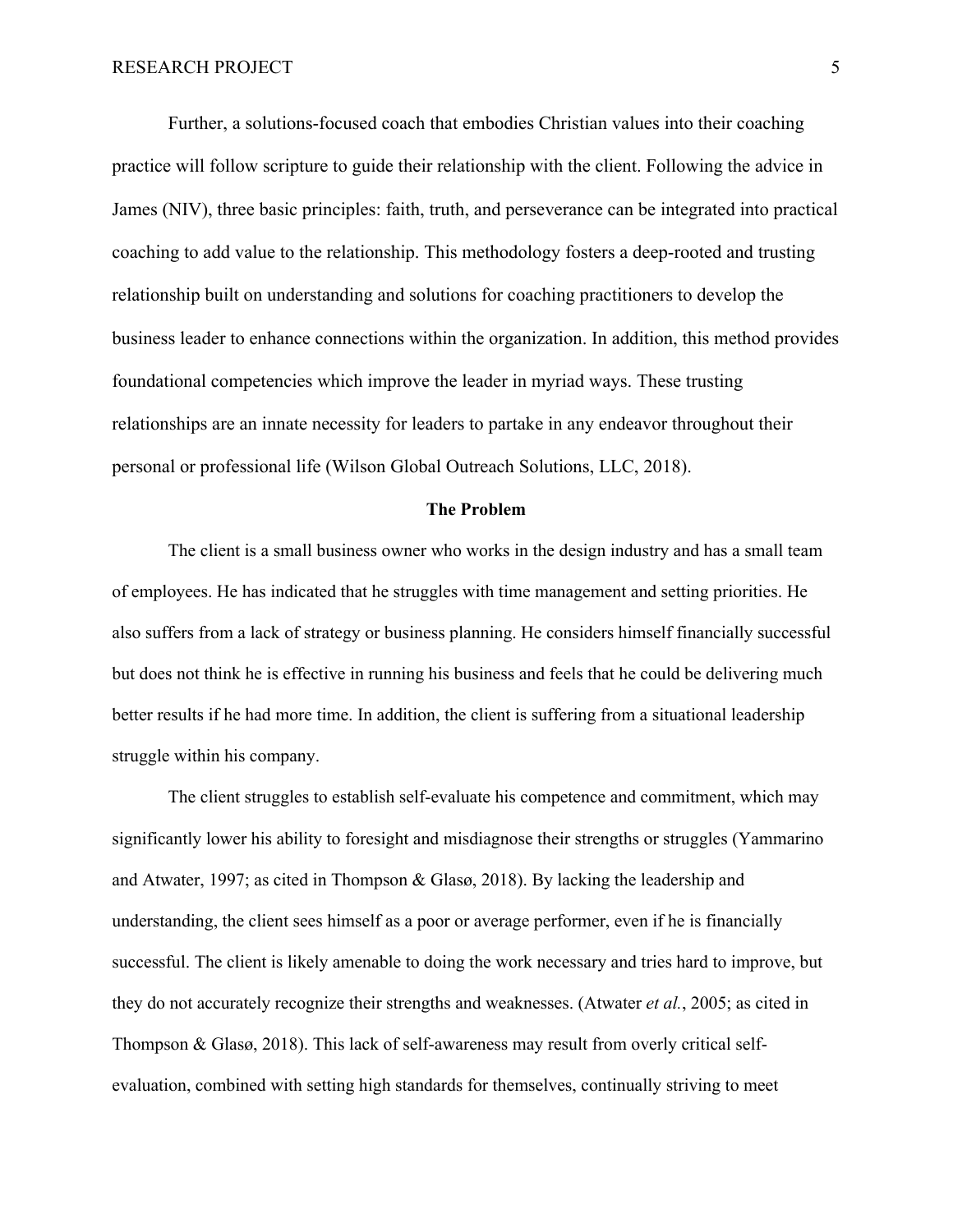Further, a solutions-focused coach that embodies Christian values into their coaching practice will follow scripture to guide their relationship with the client. Following the advice in James (NIV), three basic principles: faith, truth, and perseverance can be integrated into practical coaching to add value to the relationship. This methodology fosters a deep-rooted and trusting relationship built on understanding and solutions for coaching practitioners to develop the business leader to enhance connections within the organization. In addition, this method provides foundational competencies which improve the leader in myriad ways. These trusting relationships are an innate necessity for leaders to partake in any endeavor throughout their personal or professional life (Wilson Global Outreach Solutions, LLC, 2018).

## **The Problem**

The client is a small business owner who works in the design industry and has a small team of employees. He has indicated that he struggles with time management and setting priorities. He also suffers from a lack of strategy or business planning. He considers himself financially successful but does not think he is effective in running his business and feels that he could be delivering much better results if he had more time. In addition, the client is suffering from a situational leadership struggle within his company.

The client struggles to establish self-evaluate his competence and commitment, which may significantly lower his ability to foresight and misdiagnose their strengths or struggles (Yammarino and Atwater, 1997; as cited in Thompson & Glasø, 2018). By lacking the leadership and understanding, the client sees himself as a poor or average performer, even if he is financially successful. The client is likely amenable to doing the work necessary and tries hard to improve, but they do not accurately recognize their strengths and weaknesses. (Atwater *et al.*, 2005; as cited in Thompson & Glasø, 2018). This lack of self-awareness may result from overly critical selfevaluation, combined with setting high standards for themselves, continually striving to meet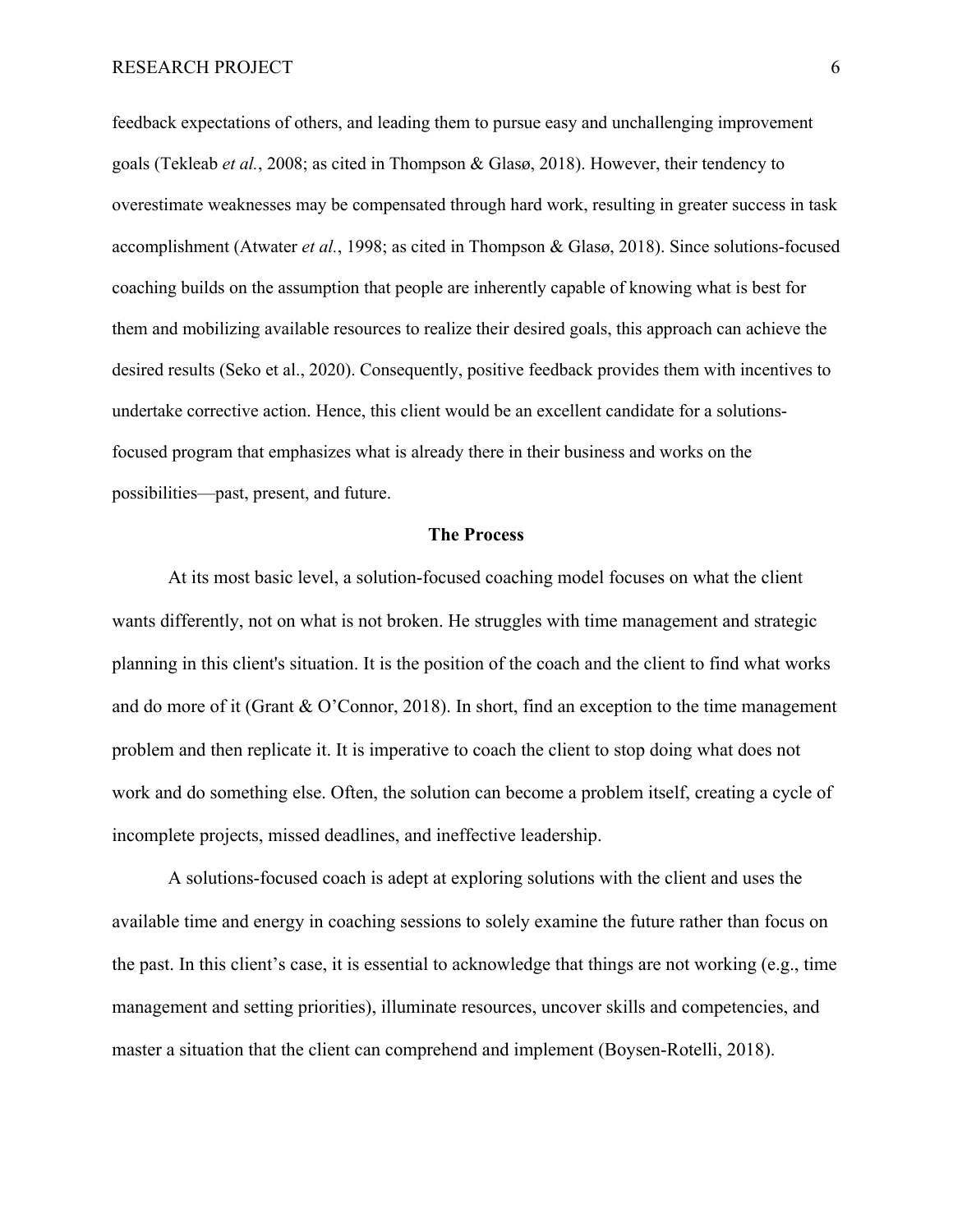feedback expectations of others, and leading them to pursue easy and unchallenging improvement goals (Tekleab *et al.*, 2008; as cited in Thompson & Glasø, 2018). However, their tendency to overestimate weaknesses may be compensated through hard work, resulting in greater success in task accomplishment (Atwater *et al.*, 1998; as cited in Thompson & Glasø, 2018). Since solutions-focused coaching builds on the assumption that people are inherently capable of knowing what is best for them and mobilizing available resources to realize their desired goals, this approach can achieve the desired results (Seko et al., 2020). Consequently, positive feedback provides them with incentives to undertake corrective action. Hence, this client would be an excellent candidate for a solutionsfocused program that emphasizes what is already there in their business and works on the possibilities—past, present, and future.

#### **The Process**

At its most basic level, a solution-focused coaching model focuses on what the client wants differently, not on what is not broken. He struggles with time management and strategic planning in this client's situation. It is the position of the coach and the client to find what works and do more of it (Grant & O'Connor, 2018). In short, find an exception to the time management problem and then replicate it. It is imperative to coach the client to stop doing what does not work and do something else. Often, the solution can become a problem itself, creating a cycle of incomplete projects, missed deadlines, and ineffective leadership.

A solutions-focused coach is adept at exploring solutions with the client and uses the available time and energy in coaching sessions to solely examine the future rather than focus on the past. In this client's case, it is essential to acknowledge that things are not working (e.g., time management and setting priorities), illuminate resources, uncover skills and competencies, and master a situation that the client can comprehend and implement (Boysen-Rotelli, 2018).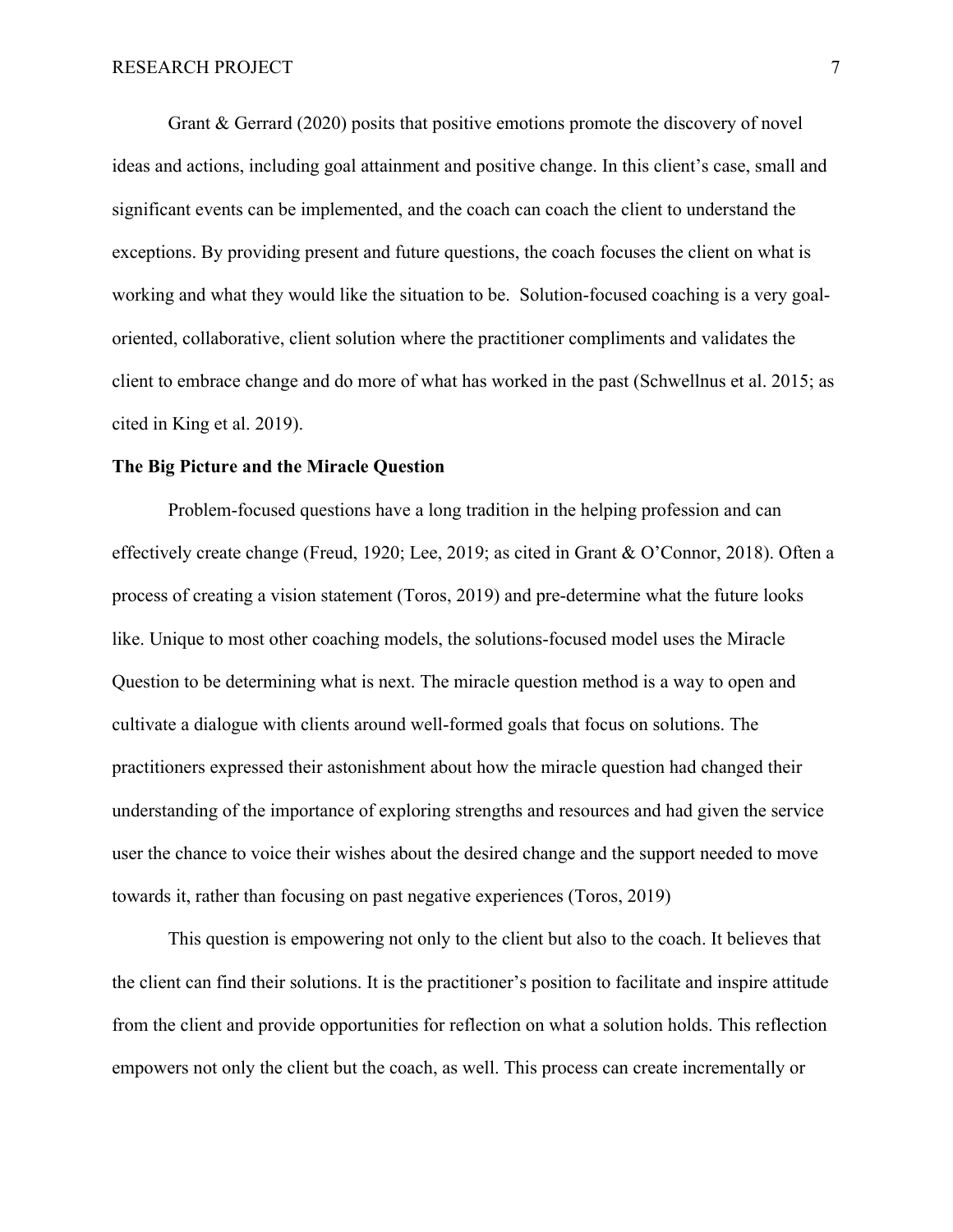Grant & Gerrard (2020) posits that positive emotions promote the discovery of novel ideas and actions, including goal attainment and positive change. In this client's case, small and significant events can be implemented, and the coach can coach the client to understand the exceptions. By providing present and future questions, the coach focuses the client on what is working and what they would like the situation to be. Solution-focused coaching is a very goaloriented, collaborative, client solution where the practitioner compliments and validates the client to embrace change and do more of what has worked in the past (Schwellnus et al. 2015; as cited in King et al. 2019).

# **The Big Picture and the Miracle Question**

Problem-focused questions have a long tradition in the helping profession and can effectively create change (Freud, 1920; Lee, 2019; as cited in Grant & O'Connor, 2018). Often a process of creating a vision statement (Toros, 2019) and pre-determine what the future looks like. Unique to most other coaching models, the solutions-focused model uses the Miracle Question to be determining what is next. The miracle question method is a way to open and cultivate a dialogue with clients around well-formed goals that focus on solutions. The practitioners expressed their astonishment about how the miracle question had changed their understanding of the importance of exploring strengths and resources and had given the service user the chance to voice their wishes about the desired change and the support needed to move towards it, rather than focusing on past negative experiences (Toros, 2019)

This question is empowering not only to the client but also to the coach. It believes that the client can find their solutions. It is the practitioner's position to facilitate and inspire attitude from the client and provide opportunities for reflection on what a solution holds. This reflection empowers not only the client but the coach, as well. This process can create incrementally or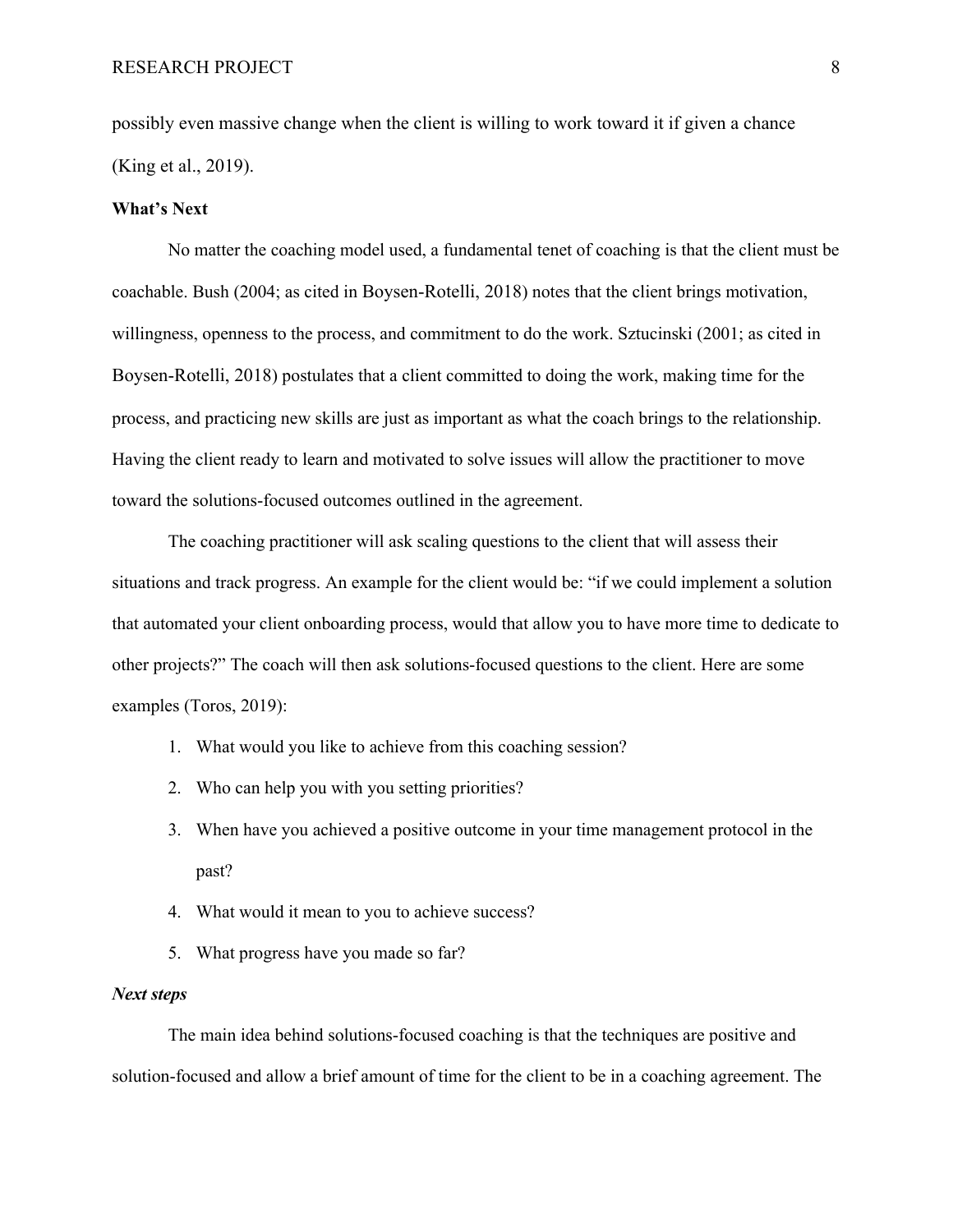possibly even massive change when the client is willing to work toward it if given a chance (King et al., 2019).

# **What's Next**

No matter the coaching model used, a fundamental tenet of coaching is that the client must be coachable. Bush (2004; as cited in Boysen-Rotelli, 2018) notes that the client brings motivation, willingness, openness to the process, and commitment to do the work. Sztucinski (2001; as cited in Boysen-Rotelli, 2018) postulates that a client committed to doing the work, making time for the process, and practicing new skills are just as important as what the coach brings to the relationship. Having the client ready to learn and motivated to solve issues will allow the practitioner to move toward the solutions-focused outcomes outlined in the agreement.

The coaching practitioner will ask scaling questions to the client that will assess their situations and track progress. An example for the client would be: "if we could implement a solution that automated your client onboarding process, would that allow you to have more time to dedicate to other projects?" The coach will then ask solutions-focused questions to the client. Here are some examples (Toros, 2019):

- 1. What would you like to achieve from this coaching session?
- 2. Who can help you with you setting priorities?
- 3. When have you achieved a positive outcome in your time management protocol in the past?
- 4. What would it mean to you to achieve success?
- 5. What progress have you made so far?

# *Next steps*

The main idea behind solutions-focused coaching is that the techniques are positive and solution-focused and allow a brief amount of time for the client to be in a coaching agreement. The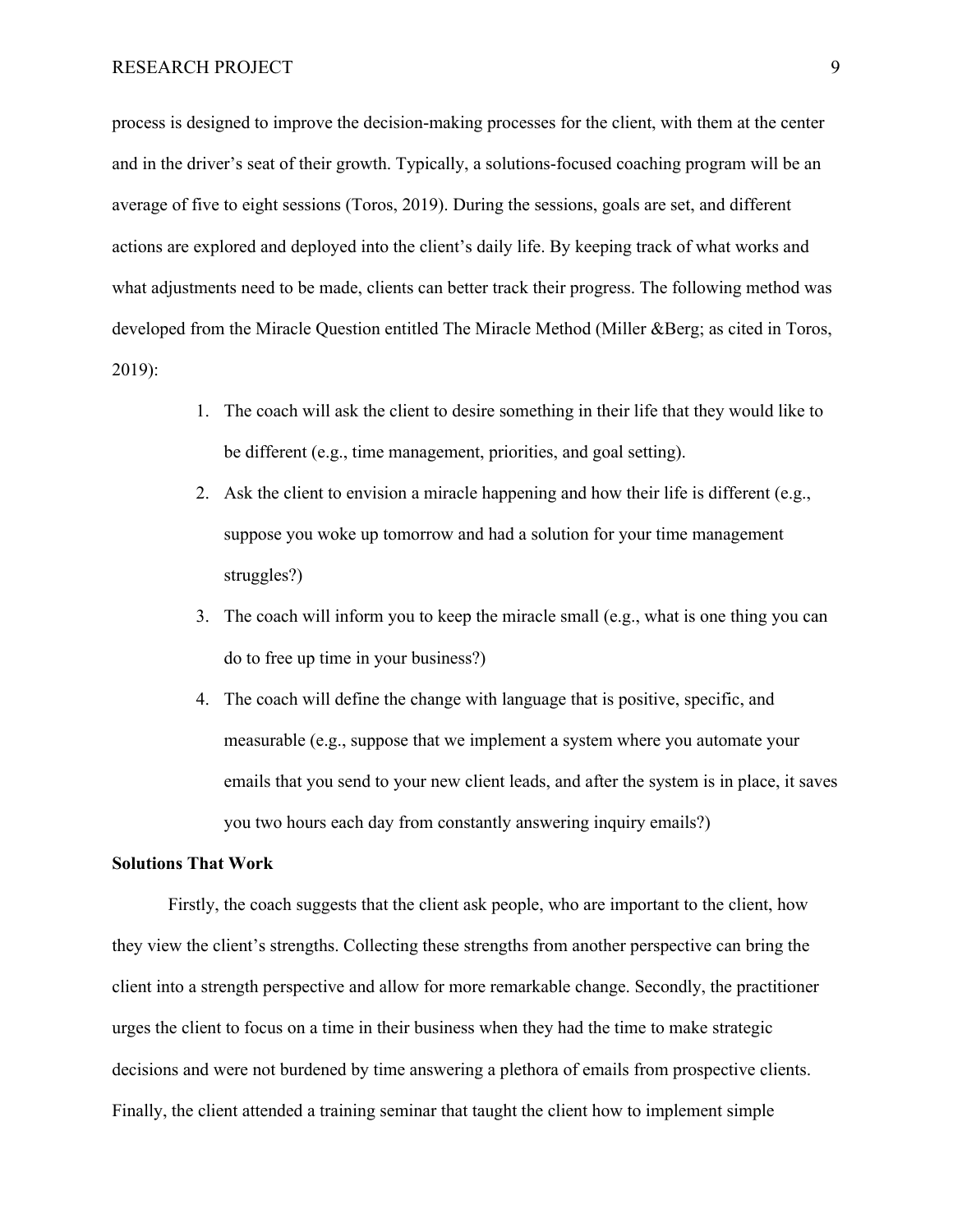process is designed to improve the decision-making processes for the client, with them at the center and in the driver's seat of their growth. Typically, a solutions-focused coaching program will be an average of five to eight sessions (Toros, 2019). During the sessions, goals are set, and different actions are explored and deployed into the client's daily life. By keeping track of what works and what adjustments need to be made, clients can better track their progress. The following method was developed from the Miracle Question entitled The Miracle Method (Miller &Berg; as cited in Toros, 2019):

- 1. The coach will ask the client to desire something in their life that they would like to be different (e.g., time management, priorities, and goal setting).
- 2. Ask the client to envision a miracle happening and how their life is different (e.g., suppose you woke up tomorrow and had a solution for your time management struggles?)
- 3. The coach will inform you to keep the miracle small (e.g., what is one thing you can do to free up time in your business?)
- 4. The coach will define the change with language that is positive, specific, and measurable (e.g., suppose that we implement a system where you automate your emails that you send to your new client leads, and after the system is in place, it saves you two hours each day from constantly answering inquiry emails?)

### **Solutions That Work**

Firstly, the coach suggests that the client ask people, who are important to the client, how they view the client's strengths. Collecting these strengths from another perspective can bring the client into a strength perspective and allow for more remarkable change. Secondly, the practitioner urges the client to focus on a time in their business when they had the time to make strategic decisions and were not burdened by time answering a plethora of emails from prospective clients. Finally, the client attended a training seminar that taught the client how to implement simple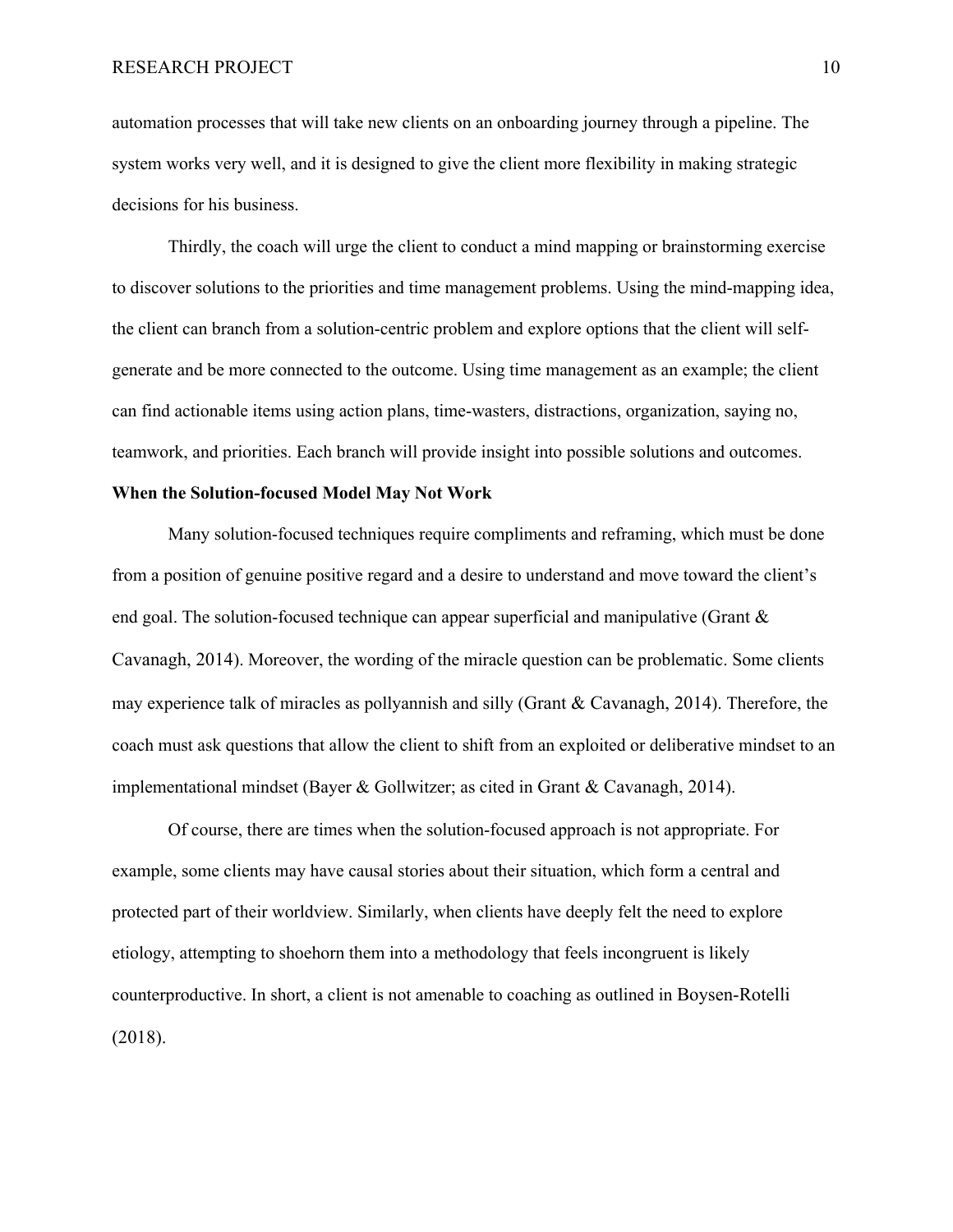automation processes that will take new clients on an onboarding journey through a pipeline. The system works very well, and it is designed to give the client more flexibility in making strategic decisions for his business.

Thirdly, the coach will urge the client to conduct a mind mapping or brainstorming exercise to discover solutions to the priorities and time management problems. Using the mind-mapping idea, the client can branch from a solution-centric problem and explore options that the client will selfgenerate and be more connected to the outcome. Using time management as an example; the client can find actionable items using action plans, time-wasters, distractions, organization, saying no, teamwork, and priorities. Each branch will provide insight into possible solutions and outcomes.

# **When the Solution-focused Model May Not Work**

Many solution-focused techniques require compliments and reframing, which must be done from a position of genuine positive regard and a desire to understand and move toward the client's end goal. The solution-focused technique can appear superficial and manipulative (Grant  $\&$ Cavanagh, 2014). Moreover, the wording of the miracle question can be problematic. Some clients may experience talk of miracles as pollyannish and silly (Grant & Cavanagh, 2014). Therefore, the coach must ask questions that allow the client to shift from an exploited or deliberative mindset to an implementational mindset (Bayer & Gollwitzer; as cited in Grant & Cavanagh, 2014).

Of course, there are times when the solution-focused approach is not appropriate. For example, some clients may have causal stories about their situation, which form a central and protected part of their worldview. Similarly, when clients have deeply felt the need to explore etiology, attempting to shoehorn them into a methodology that feels incongruent is likely counterproductive. In short, a client is not amenable to coaching as outlined in Boysen-Rotelli (2018).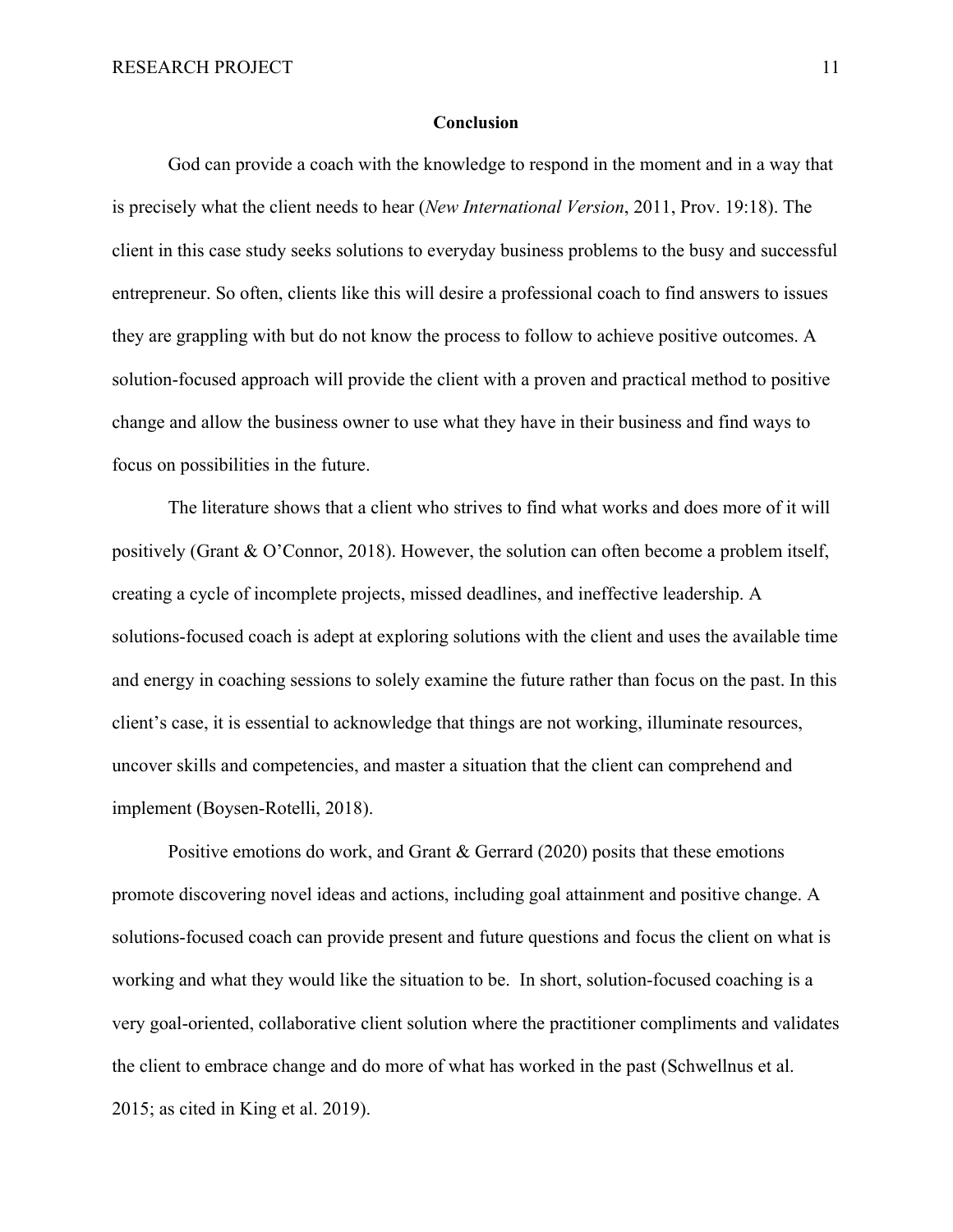#### **Conclusion**

God can provide a coach with the knowledge to respond in the moment and in a way that is precisely what the client needs to hear (*New International Version*, 2011, Prov. 19:18). The client in this case study seeks solutions to everyday business problems to the busy and successful entrepreneur. So often, clients like this will desire a professional coach to find answers to issues they are grappling with but do not know the process to follow to achieve positive outcomes. A solution-focused approach will provide the client with a proven and practical method to positive change and allow the business owner to use what they have in their business and find ways to focus on possibilities in the future.

The literature shows that a client who strives to find what works and does more of it will positively (Grant & O'Connor, 2018). However, the solution can often become a problem itself, creating a cycle of incomplete projects, missed deadlines, and ineffective leadership. A solutions-focused coach is adept at exploring solutions with the client and uses the available time and energy in coaching sessions to solely examine the future rather than focus on the past. In this client's case, it is essential to acknowledge that things are not working, illuminate resources, uncover skills and competencies, and master a situation that the client can comprehend and implement (Boysen-Rotelli, 2018).

Positive emotions do work, and Grant & Gerrard (2020) posits that these emotions promote discovering novel ideas and actions, including goal attainment and positive change. A solutions-focused coach can provide present and future questions and focus the client on what is working and what they would like the situation to be. In short, solution-focused coaching is a very goal-oriented, collaborative client solution where the practitioner compliments and validates the client to embrace change and do more of what has worked in the past (Schwellnus et al. 2015; as cited in King et al. 2019).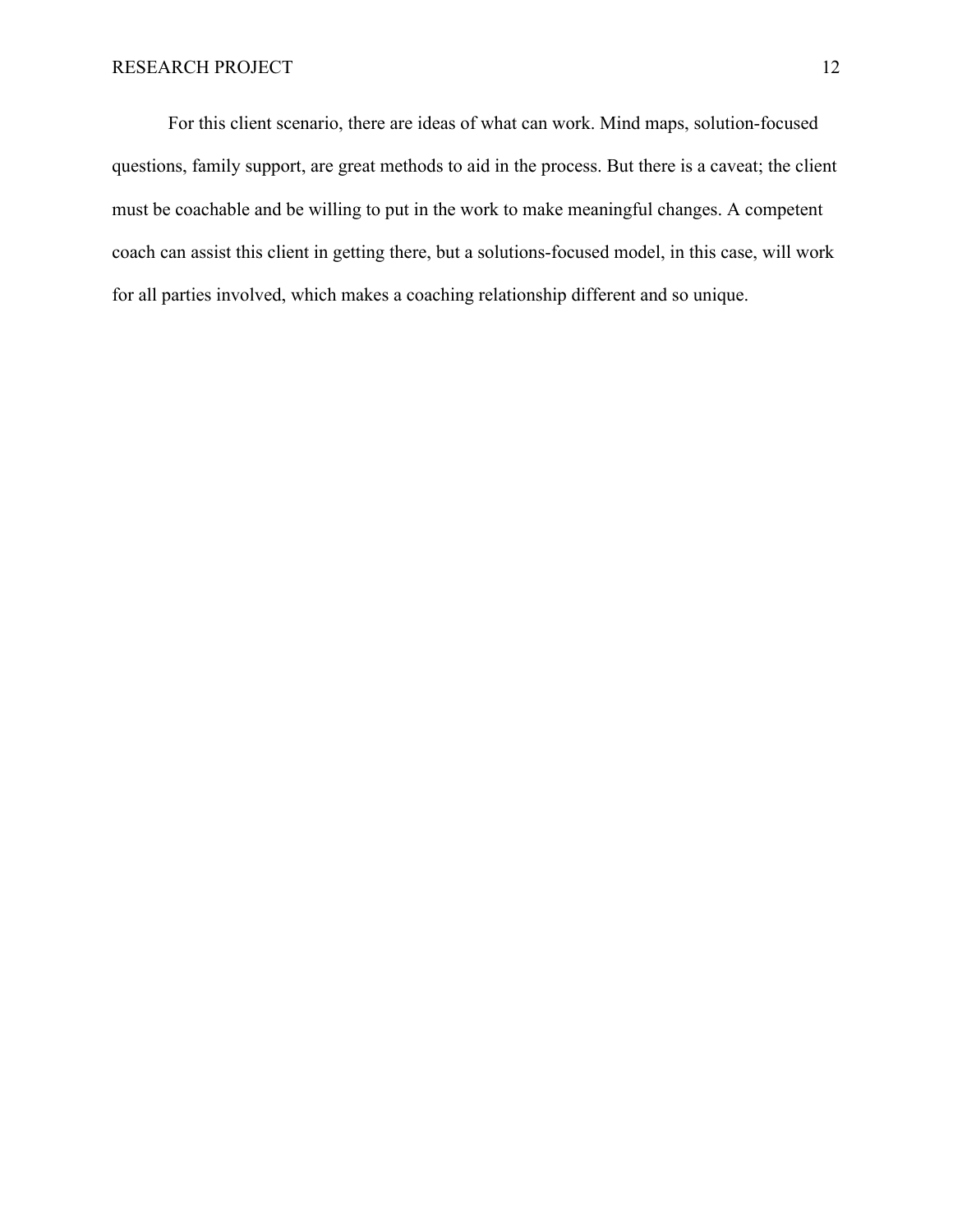For this client scenario, there are ideas of what can work. Mind maps, solution-focused questions, family support, are great methods to aid in the process. But there is a caveat; the client must be coachable and be willing to put in the work to make meaningful changes. A competent coach can assist this client in getting there, but a solutions-focused model, in this case, will work for all parties involved, which makes a coaching relationship different and so unique.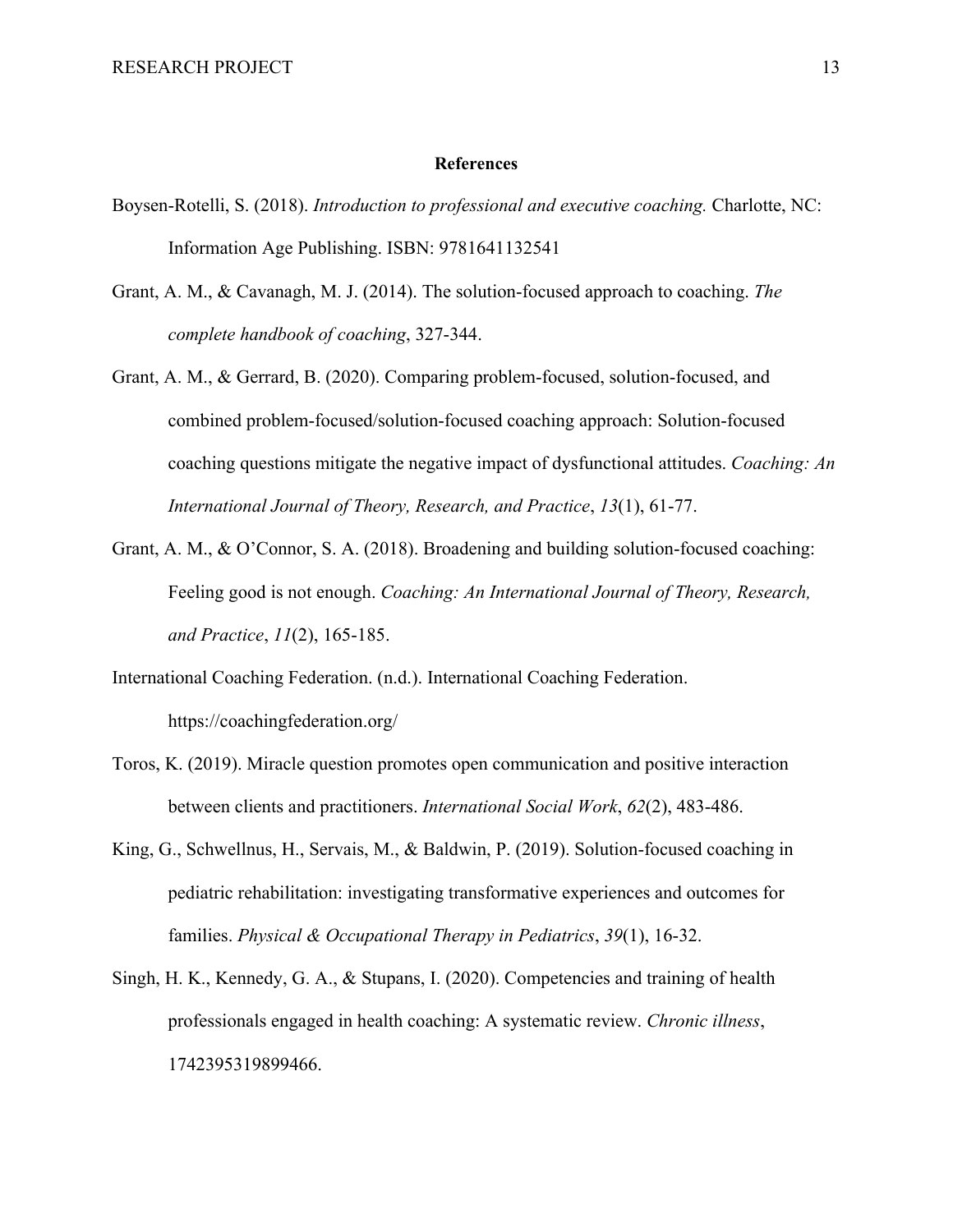#### **References**

- Boysen-Rotelli, S. (2018). *Introduction to professional and executive coaching.* Charlotte, NC: Information Age Publishing. ISBN: 9781641132541
- Grant, A. M., & Cavanagh, M. J. (2014). The solution-focused approach to coaching. *The complete handbook of coaching*, 327-344.
- Grant, A. M., & Gerrard, B. (2020). Comparing problem-focused, solution-focused, and combined problem-focused/solution-focused coaching approach: Solution-focused coaching questions mitigate the negative impact of dysfunctional attitudes. *Coaching: An International Journal of Theory, Research, and Practice*, *13*(1), 61-77.
- Grant, A. M., & O'Connor, S. A. (2018). Broadening and building solution-focused coaching: Feeling good is not enough. *Coaching: An International Journal of Theory, Research, and Practice*, *11*(2), 165-185.
- International Coaching Federation. (n.d.). International Coaching Federation. https://coachingfederation.org/
- Toros, K. (2019). Miracle question promotes open communication and positive interaction between clients and practitioners. *International Social Work*, *62*(2), 483-486.
- King, G., Schwellnus, H., Servais, M., & Baldwin, P. (2019). Solution-focused coaching in pediatric rehabilitation: investigating transformative experiences and outcomes for families. *Physical & Occupational Therapy in Pediatrics*, *39*(1), 16-32.
- Singh, H. K., Kennedy, G. A., & Stupans, I. (2020). Competencies and training of health professionals engaged in health coaching: A systematic review. *Chronic illness*, 1742395319899466.